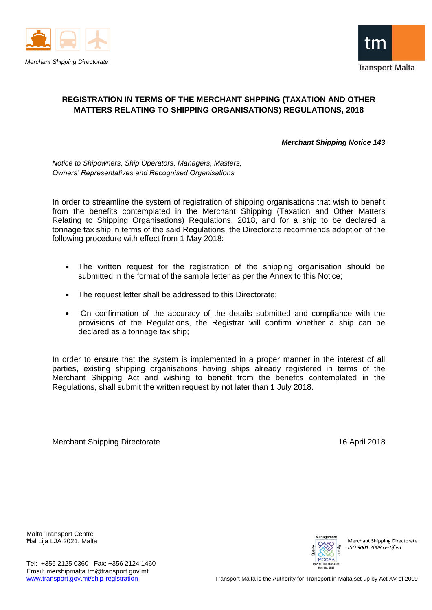



## **REGISTRATION IN TERMS OF THE MERCHANT SHPPING (TAXATION AND OTHER MATTERS RELATING TO SHIPPING ORGANISATIONS) REGULATIONS, 2018**

*Merchant Shipping Notice 143*

*Notice to Shipowners, Ship Operators, Managers, Masters, Owners' Representatives and Recognised Organisations*

In order to streamline the system of registration of shipping organisations that wish to benefit from the benefits contemplated in the Merchant Shipping (Taxation and Other Matters Relating to Shipping Organisations) Regulations, 2018, and for a ship to be declared a tonnage tax ship in terms of the said Regulations, the Directorate recommends adoption of the following procedure with effect from 1 May 2018:

- The written request for the registration of the shipping organisation should be submitted in the format of the sample letter as per the Annex to this Notice;
- The request letter shall be addressed to this Directorate;
- On confirmation of the accuracy of the details submitted and compliance with the provisions of the Regulations, the Registrar will confirm whether a ship can be declared as a tonnage tax ship;

In order to ensure that the system is implemented in a proper manner in the interest of all parties, existing shipping organisations having ships already registered in terms of the Merchant Shipping Act and wishing to benefit from the benefits contemplated in the Regulations, shall submit the written request by not later than 1 July 2018.

Merchant Shipping Directorate 16 April 2018

Malta Transport Centre Ħal Lija LJA 2021, Malta



**Merchant Shipping Directorate** ISO 9001.2008 certified

Tel: +356 2125 0360 Fax: +356 2124 1460 Email: mershipmalta.tm@transport.gov.mt